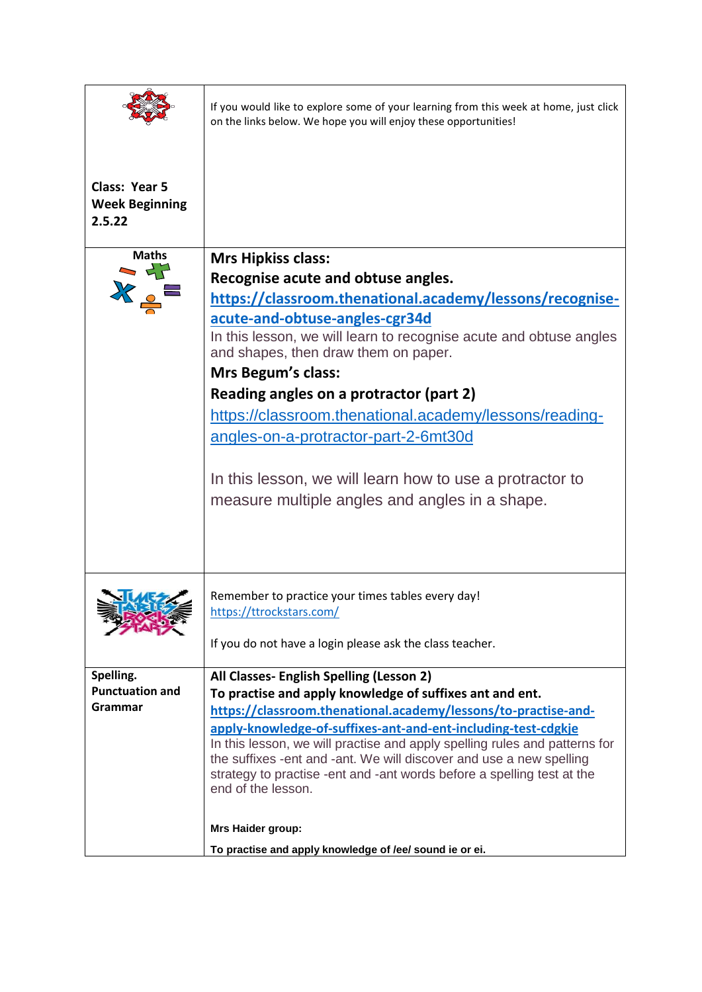| Class: Year 5                                  | If you would like to explore some of your learning from this week at home, just click<br>on the links below. We hope you will enjoy these opportunities!                                                                                                                                                                                                                                                                                                                                                                                                                                                                                  |
|------------------------------------------------|-------------------------------------------------------------------------------------------------------------------------------------------------------------------------------------------------------------------------------------------------------------------------------------------------------------------------------------------------------------------------------------------------------------------------------------------------------------------------------------------------------------------------------------------------------------------------------------------------------------------------------------------|
| <b>Week Beginning</b><br>2.5.22                |                                                                                                                                                                                                                                                                                                                                                                                                                                                                                                                                                                                                                                           |
| <b>Maths</b><br>$\overline{a}$                 | <b>Mrs Hipkiss class:</b><br>Recognise acute and obtuse angles.<br>https://classroom.thenational.academy/lessons/recognise-<br>acute-and-obtuse-angles-cgr34d<br>In this lesson, we will learn to recognise acute and obtuse angles<br>and shapes, then draw them on paper.<br><b>Mrs Begum's class:</b><br>Reading angles on a protractor (part 2)<br>https://classroom.thenational.academy/lessons/reading-<br>angles-on-a-protractor-part-2-6mt30d<br>In this lesson, we will learn how to use a protractor to<br>measure multiple angles and angles in a shape.                                                                       |
| Spelling.<br><b>Punctuation and</b><br>Grammar | Remember to practice your times tables every day!<br>https://ttrockstars.com/<br>If you do not have a login please ask the class teacher.<br>All Classes- English Spelling (Lesson 2)<br>To practise and apply knowledge of suffixes ant and ent.<br>https://classroom.thenational.academy/lessons/to-practise-and-<br>apply-knowledge-of-suffixes-ant-and-ent-including-test-cdgkje<br>In this lesson, we will practise and apply spelling rules and patterns for<br>the suffixes -ent and -ant. We will discover and use a new spelling<br>strategy to practise -ent and -ant words before a spelling test at the<br>end of the lesson. |
|                                                | Mrs Haider group:<br>To practise and apply knowledge of /ee/ sound ie or ei.                                                                                                                                                                                                                                                                                                                                                                                                                                                                                                                                                              |